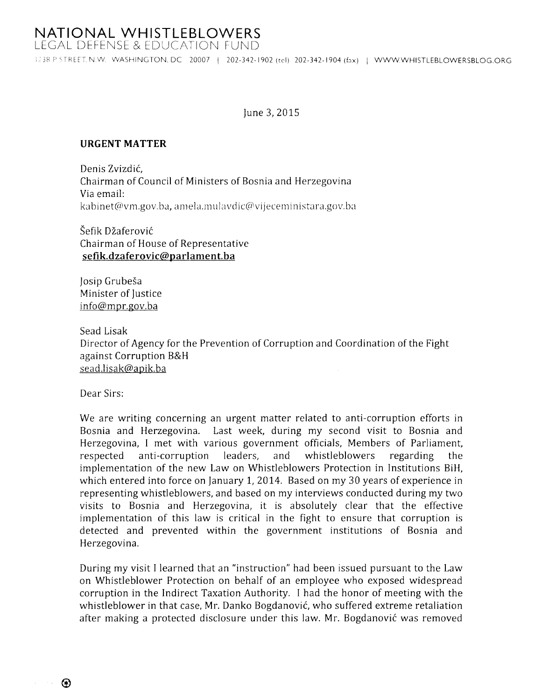3238 P STREET, N.W. WASHINGTON, DC 20007 | 202-342-1902 (tel) 202-342-1904 (fax) | WWW.WHISTLEBLOWERSBLOG.ORG

## June 3, 2015

## **URGENT MATTER**

Denis Zvizdić, Chairman of Council of Ministers of Bosnia and Herzegovina Via email: kabinet@vm.gov.ba, amela.mulavdic@vijeceministara.gov.ba

Šefik Džaferović Chairman of House of Representative sefik.dzaferovic@parlament.ba

Josip Grubeša Minister of Justice info@mpr.gov.ba

Sead Lisak Director of Agency for the Prevention of Corruption and Coordination of the Fight against Corruption B&H sead.lisak@apik.ba

Dear Sirs:

We are writing concerning an urgent matter related to anti-corruption efforts in Bosnia and Herzegovina. Last week, during my second visit to Bosnia and Herzegovina, I met with various government officials, Members of Parliament, respected anti-corruption leaders, and whistleblowers regarding implementation of the new Law on Whistleblowers Protection in Institutions BiH, which entered into force on January 1, 2014. Based on my 30 years of experience in representing whistleblowers, and based on my interviews conducted during my two visits to Bosnia and Herzegovina, it is absolutely clear that the effective implementation of this law is critical in the fight to ensure that corruption is detected and prevented within the government institutions of Bosnia and Herzegovina.

During my visit I learned that an "instruction" had been issued pursuant to the Law on Whistleblower Protection on behalf of an employee who exposed widespread corruption in the Indirect Taxation Authority. I had the honor of meeting with the whistleblower in that case, Mr. Danko Bogdanović, who suffered extreme retaliation after making a protected disclosure under this law. Mr. Bogdanović was removed

 $\circledR$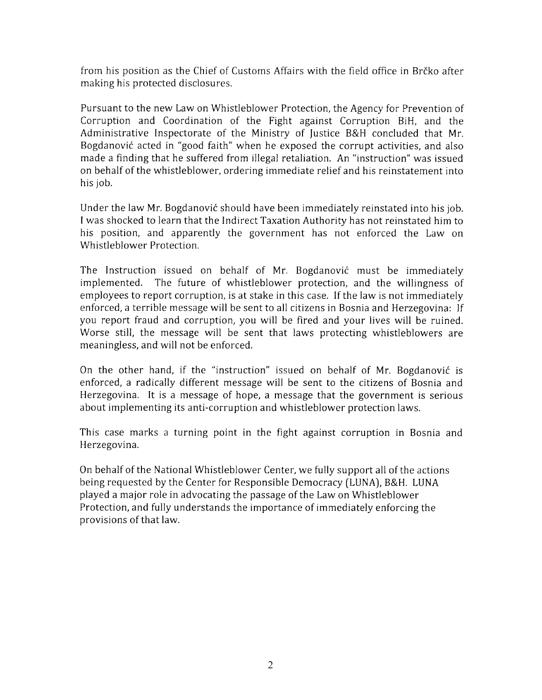from his position as the Chief of Customs Affairs with the field office in Brčko after making his protected disclosures.

Pursuant to the new Law on Whistleblower Protection, the Agency for Prevention of Corruption and Coordination of the Fight against Corruption BiH, and the Administrative Inspectorate of the Ministry of Justice B&H concluded that Mr. Bogdanovic acted in "good faith" when he exposed the corrupt activities, and also made a finding that he suffered from ilegal retaliation. An "instruction" was issued on behalf of the whistJeblower, ordering immediate relief and his reinstatement into his job.

Under the law Mr. Bogdanovic should have been immediately reinstated into his job. I was shocked to learn that the Indirect Taxation Authority has not reinstated him to his position, and apparently the government has not enforced the Law on Whistleblower Protection.

The Instruction issued on behalf of Mr. Bogdanovic must be immediately implemented. The future of whistleblower protection, and the willingness of employees to report corruption, is at stake in this case. If the law is not immediately enforced, a terrible message will be sent to all citizens in Bosnia and Herzegovina: If you report fraud and corruption, you will be fired and your lives will be ruined. Worse still, the message will be sent that laws protecting whistleblowers are meaningless, and will not be enforced.

On the other hand, if the "instruction" issued on behalf of Mr. Bogdanovic is enforced, a radically different message will be sent to the citizens of Bosnia and Herzegovina. It is a message of hope, a message that the government is serious about implementing its anti-corruption and whistleblower protection laws.

This case marks a turning point in the fight against corruption in Bosnia and Herzegovina.

On behalf of the National Whistleblower Center, we fully support all of the actions being requested by the Center for Responsible Democracy (LUNA), B&H. LUNA played a major role in advocating the passage of the Law on Whistleblower Protection, and fully understands the importance of immediately enforcing the provisions of that law.